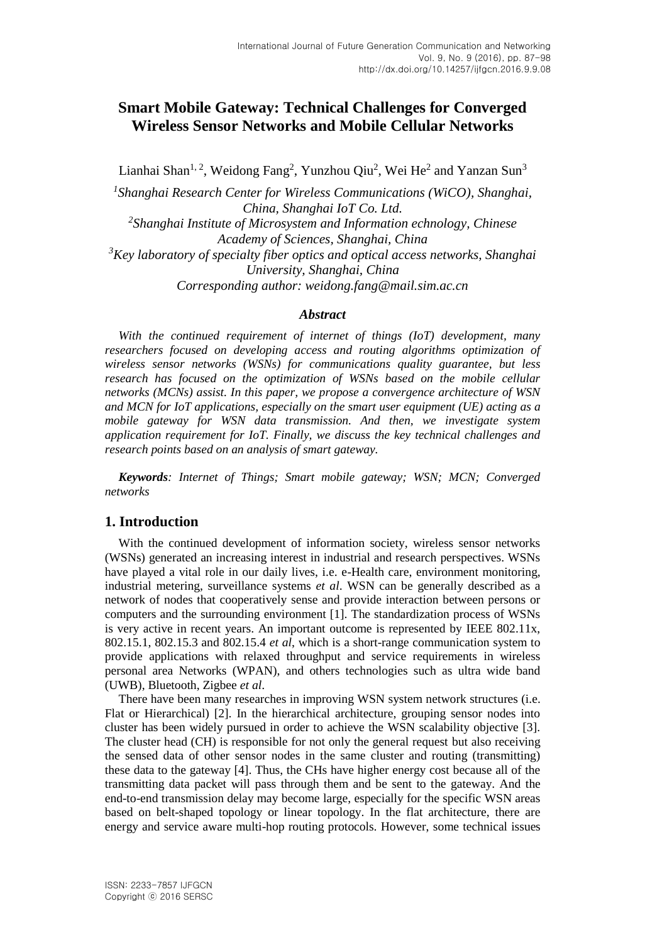# **Smart Mobile Gateway: Technical Challenges for Converged Wireless Sensor Networks and Mobile Cellular Networks**

Lianhai Shan<sup>1, 2</sup>, Weidong Fang<sup>2</sup>, Yunzhou Qiu<sup>2</sup>, Wei He<sup>2</sup> and Yanzan Sun<sup>3</sup>

*1 Shanghai Research Center for Wireless Communications (WiCO), Shanghai, China, Shanghai IoT Co. Ltd. 2 Shanghai Institute of Microsystem and Information echnology, Chinese Academy of Sciences, Shanghai, China <sup>3</sup>Key laboratory of specialty fiber optics and optical access networks, Shanghai University, Shanghai, China Corresponding author: weidong.fang@mail.sim.ac.cn*

### *Abstract*

*With the continued requirement of internet of things (IoT) development, many researchers focused on developing access and routing algorithms optimization of wireless sensor networks (WSNs) for communications quality guarantee, but less research has focused on the optimization of WSNs based on the mobile cellular networks (MCNs) assist. In this paper, we propose a convergence architecture of WSN and MCN for IoT applications, especially on the smart user equipment (UE) acting as a mobile gateway for WSN data transmission. And then, we investigate system application requirement for IoT. Finally, we discuss the key technical challenges and research points based on an analysis of smart gateway.*

*Keywords: Internet of Things; Smart mobile gateway; WSN; MCN; Converged networks*

# **1. Introduction**

With the continued development of information society, wireless sensor networks (WSNs) generated an increasing interest in industrial and research perspectives. WSNs have played a vital role in our daily lives, i.e. e-Health care, environment monitoring, industrial metering, surveillance systems *et al*. WSN can be generally described as a network of nodes that cooperatively sense and provide interaction between persons or computers and the surrounding environment [1]. The standardization process of WSNs is very active in recent years. An important outcome is represented by IEEE 802.11x, 802.15.1, 802.15.3 and 802.15.4 *et al*, which is a short-range communication system to provide applications with relaxed throughput and service requirements in wireless personal area Networks (WPAN), and others technologies such as ultra wide band (UWB), Bluetooth, Zigbee *et al*.

There have been many researches in improving WSN system network structures (i.e. Flat or Hierarchical) [2]. In the hierarchical architecture, grouping sensor nodes into cluster has been widely pursued in order to achieve the WSN scalability objective [3]. The cluster head (CH) is responsible for not only the general request but also receiving the sensed data of other sensor nodes in the same cluster and routing (transmitting) these data to the gateway [4]. Thus, the CHs have higher energy cost because all of the transmitting data packet will pass through them and be sent to the gateway. And the end-to-end transmission delay may become large, especially for the specific WSN areas based on belt-shaped topology or linear topology. In the flat architecture, there are energy and service aware multi-hop routing protocols. However, some technical issues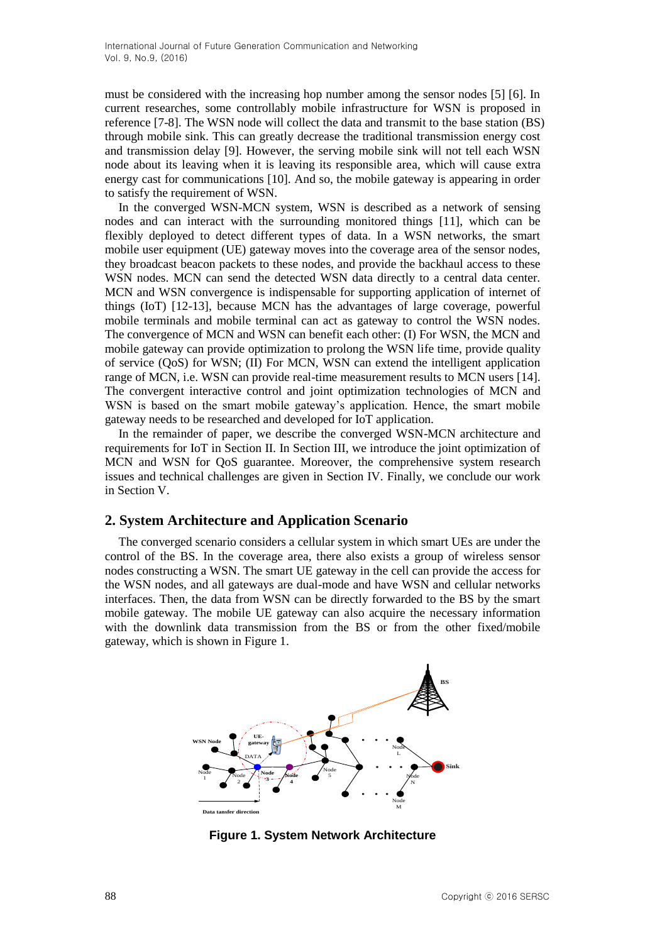must be considered with the increasing hop number among the sensor nodes [5] [6]. In current researches, some controllably mobile infrastructure for WSN is proposed in reference [7-8]. The WSN node will collect the data and transmit to the base station (BS) through mobile sink. This can greatly decrease the traditional transmission energy cost and transmission delay [9]. However, the serving mobile sink will not tell each WSN node about its leaving when it is leaving its responsible area, which will cause extra energy cast for communications [10]. And so, the mobile gateway is appearing in order to satisfy the requirement of WSN.

In the converged WSN-MCN system, WSN is described as a network of sensing nodes and can interact with the surrounding monitored things [11], which can be flexibly deployed to detect different types of data. In a WSN networks, the smart mobile user equipment (UE) gateway moves into the coverage area of the sensor nodes, they broadcast beacon packets to these nodes, and provide the backhaul access to these WSN nodes. MCN can send the detected WSN data directly to a central data center. MCN and WSN convergence is indispensable for supporting application of internet of things (IoT) [12-13], because MCN has the advantages of large coverage, powerful mobile terminals and mobile terminal can act as gateway to control the WSN nodes. The convergence of MCN and WSN can benefit each other: (I) For WSN, the MCN and mobile gateway can provide optimization to prolong the WSN life time, provide quality of service (QoS) for WSN; (II) For MCN, WSN can extend the intelligent application range of MCN, i.e. WSN can provide real-time measurement results to MCN users [14]. The convergent interactive control and joint optimization technologies of MCN and WSN is based on the smart mobile gateway's application. Hence, the smart mobile gateway needs to be researched and developed for IoT application.

In the remainder of paper, we describe the converged WSN-MCN architecture and requirements for IoT in Section II. In Section III, we introduce the joint optimization of MCN and WSN for QoS guarantee. Moreover, the comprehensive system research issues and technical challenges are given in Section IV. Finally, we conclude our work in Section V.

# **2. System Architecture and Application Scenario**

The converged scenario considers a cellular system in which smart UEs are under the control of the BS. In the coverage area, there also exists a group of wireless sensor nodes constructing a WSN. The smart UE gateway in the cell can provide the access for the WSN nodes, and all gateways are dual-mode and have WSN and cellular networks interfaces. Then, the data from WSN can be directly forwarded to the BS by the smart mobile gateway. The mobile UE gateway can also acquire the necessary information with the downlink data transmission from the BS or from the other fixed/mobile gateway, which is shown in Figure 1.



**Figure 1. System Network Architecture**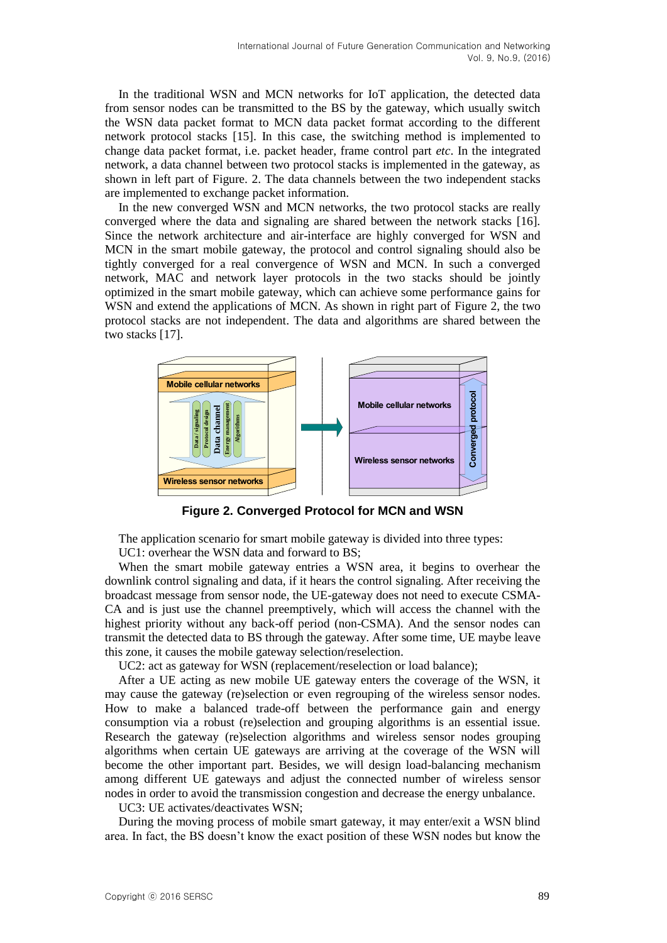In the traditional WSN and MCN networks for IoT application, the detected data from sensor nodes can be transmitted to the BS by the gateway, which usually switch the WSN data packet format to MCN data packet format according to the different network protocol stacks [15]. In this case, the switching method is implemented to change data packet format, i.e. packet header, frame control part *etc*. In the integrated network, a data channel between two protocol stacks is implemented in the gateway, as shown in left part of Figure. 2. The data channels between the two independent stacks are implemented to exchange packet information.

In the new converged WSN and MCN networks, the two protocol stacks are really converged where the data and signaling are shared between the network stacks [16]. Since the network architecture and air-interface are highly converged for WSN and MCN in the smart mobile gateway, the protocol and control signaling should also be tightly converged for a real convergence of WSN and MCN. In such a converged network, MAC and network layer protocols in the two stacks should be jointly optimized in the smart mobile gateway, which can achieve some performance gains for WSN and extend the applications of MCN. As shown in right part of Figure 2, the two protocol stacks are not independent. The data and algorithms are shared between the two stacks [17].



**Figure 2. Converged Protocol for MCN and WSN**

The application scenario for smart mobile gateway is divided into three types: UC1: overhear the WSN data and forward to BS;

When the smart mobile gateway entries a WSN area, it begins to overhear the downlink control signaling and data, if it hears the control signaling. After receiving the broadcast message from sensor node, the UE-gateway does not need to execute CSMA-CA and is just use the channel preemptively, which will access the channel with the highest priority without any back-off period (non-CSMA). And the sensor nodes can transmit the detected data to BS through the gateway. After some time, UE maybe leave this zone, it causes the mobile gateway selection/reselection.

UC2: act as gateway for WSN (replacement/reselection or load balance);

After a UE acting as new mobile UE gateway enters the coverage of the WSN, it may cause the gateway (re)selection or even regrouping of the wireless sensor nodes. How to make a balanced trade-off between the performance gain and energy consumption via a robust (re)selection and grouping algorithms is an essential issue. Research the gateway (re)selection algorithms and wireless sensor nodes grouping algorithms when certain UE gateways are arriving at the coverage of the WSN will become the other important part. Besides, we will design load-balancing mechanism among different UE gateways and adjust the connected number of wireless sensor nodes in order to avoid the transmission congestion and decrease the energy unbalance.

UC3: UE activates/deactivates WSN;

During the moving process of mobile smart gateway, it may enter/exit a WSN blind area. In fact, the BS doesn't know the exact position of these WSN nodes but know the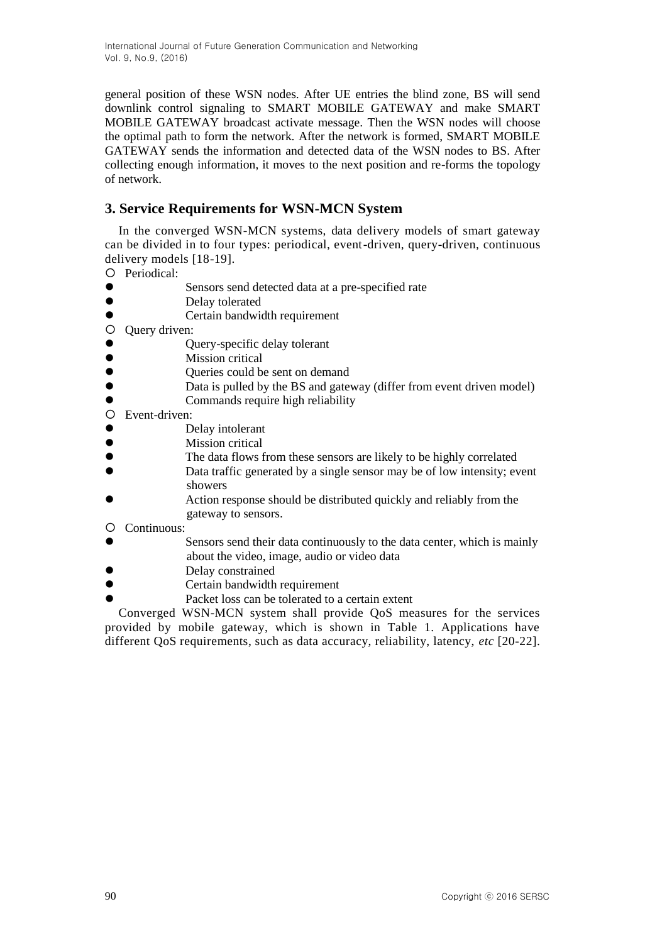general position of these WSN nodes. After UE entries the blind zone, BS will send downlink control signaling to SMART MOBILE GATEWAY and make SMART MOBILE GATEWAY broadcast activate message. Then the WSN nodes will choose the optimal path to form the network. After the network is formed, SMART MOBILE GATEWAY sends the information and detected data of the WSN nodes to BS. After collecting enough information, it moves to the next position and re-forms the topology of network.

# **3. Service Requirements for WSN-MCN System**

In the converged WSN-MCN systems, data delivery models of smart gateway can be divided in to four types: periodical, event-driven, query-driven, continuous delivery models [18-19].

- O Periodical:
- Sensors send detected data at a pre-specified rate
- Delay tolerated
- Certain bandwidth requirement
- Query driven:
- Query-specific delay tolerant
- $\bullet$  Mission critical
- Queries could be sent on demand<br>• Data is pulled by the BS and gate
	- Data is pulled by the BS and gateway (differ from event driven model)
- Commands require high reliability
- Event-driven:
- Delay intolerant
- Mission critical
- The data flows from these sensors are likely to be highly correlated
- Data traffic generated by a single sensor may be of low intensity; event showers
- Action response should be distributed quickly and reliably from the gateway to sensors.
- O Continuous:
	- Sensors send their data continuously to the data center, which is mainly about the video, image, audio or video data
- Delay constrained
- Certain bandwidth requirement
- Packet loss can be tolerated to a certain extent

Converged WSN-MCN system shall provide QoS measures for the services provided by mobile gateway, which is shown in Table 1. Applications have different QoS requirements, such as data accuracy, reliability, latency, *etc* [20-22].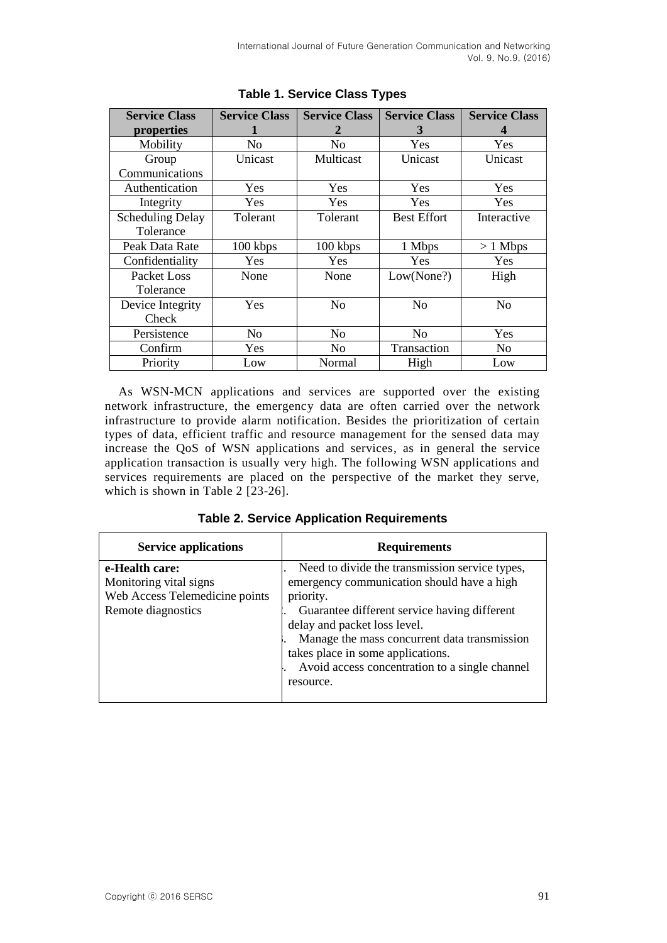| <b>Service Class</b>    | <b>Service Class</b> | <b>Service Class</b> | <b>Service Class</b> | <b>Service Class</b> |
|-------------------------|----------------------|----------------------|----------------------|----------------------|
| properties              |                      | 2                    | 3                    | 4                    |
| Mobility                | N <sub>0</sub>       | N <sub>0</sub>       | Yes                  | <b>Yes</b>           |
| Group                   | Unicast              | Multicast            | Unicast              | Unicast              |
| Communications          |                      |                      |                      |                      |
| Authentication          | <b>Yes</b>           | Yes                  | Yes                  | Yes                  |
| Integrity               | <b>Yes</b>           | <b>Yes</b>           | Yes                  | <b>Yes</b>           |
| <b>Scheduling Delay</b> | Tolerant             | Tolerant             | <b>Best Effort</b>   | Interactive          |
| Tolerance               |                      |                      |                      |                      |
| Peak Data Rate          | 100 kbps             | 100 kbps             | 1 Mbps               | $> 1$ Mbps           |
| Confidentiality         | <b>Yes</b>           | Yes                  | <b>Yes</b>           | <b>Yes</b>           |
| Packet Loss             | None                 | None                 | Low(None?)           | High                 |
| Tolerance               |                      |                      |                      |                      |
| Device Integrity        | <b>Yes</b>           | N <sub>o</sub>       | N <sub>o</sub>       | N <sub>o</sub>       |
| Check                   |                      |                      |                      |                      |
| Persistence             | N <sub>o</sub>       | N <sub>0</sub>       | N <sub>0</sub>       | Yes                  |
| Confirm                 | <b>Yes</b>           | N <sub>0</sub>       | Transaction          | N <sub>0</sub>       |
| Priority                | Low                  | Normal               | High                 | Low                  |

**Table 1. Service Class Types**

As WSN-MCN applications and services are supported over the existing network infrastructure, the emergency data are often carried over the network infrastructure to provide alarm notification. Besides the prioritization of certain types of data, efficient traffic and resource management for the sensed data may increase the QoS of WSN applications and services, as in general the service application transaction is usually very high. The following WSN applications and services requirements are placed on the perspective of the market they serve, which is shown in Table 2 [23-26].

|  |  |  | <b>Table 2. Service Application Requirements</b> |
|--|--|--|--------------------------------------------------|
|--|--|--|--------------------------------------------------|

| <b>Service applications</b>                                                                      | <b>Requirements</b>                                                                                                                                                                                                                                                                                                                           |  |
|--------------------------------------------------------------------------------------------------|-----------------------------------------------------------------------------------------------------------------------------------------------------------------------------------------------------------------------------------------------------------------------------------------------------------------------------------------------|--|
| e-Health care:<br>Monitoring vital signs<br>Web Access Telemedicine points<br>Remote diagnostics | Need to divide the transmission service types,<br>emergency communication should have a high<br>priority.<br>Guarantee different service having different<br>delay and packet loss level.<br>Manage the mass concurrent data transmission<br>takes place in some applications.<br>Avoid access concentration to a single channel<br>resource. |  |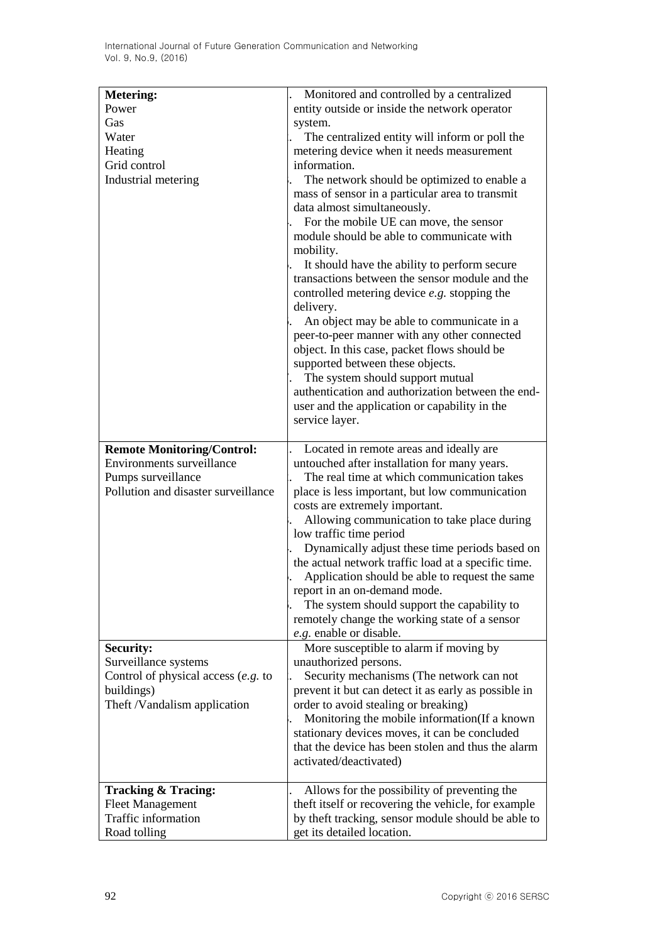| <b>Metering:</b>                      | Monitored and controlled by a centralized            |
|---------------------------------------|------------------------------------------------------|
| Power                                 | entity outside or inside the network operator        |
| Gas                                   | system.                                              |
| Water                                 | The centralized entity will inform or poll the       |
| Heating                               | metering device when it needs measurement            |
| Grid control                          | information.                                         |
| Industrial metering                   | The network should be optimized to enable a          |
|                                       | mass of sensor in a particular area to transmit      |
|                                       | data almost simultaneously.                          |
|                                       | For the mobile UE can move, the sensor               |
|                                       | module should be able to communicate with            |
|                                       | mobility.                                            |
|                                       | It should have the ability to perform secure         |
|                                       | transactions between the sensor module and the       |
|                                       | controlled metering device $e.g.$ stopping the       |
|                                       | delivery.                                            |
|                                       | An object may be able to communicate in a            |
|                                       | peer-to-peer manner with any other connected         |
|                                       | object. In this case, packet flows should be         |
|                                       | supported between these objects.                     |
|                                       | The system should support mutual                     |
|                                       | authentication and authorization between the end-    |
|                                       | user and the application or capability in the        |
|                                       | service layer.                                       |
|                                       |                                                      |
| <b>Remote Monitoring/Control:</b>     | Located in remote areas and ideally are              |
| Environments surveillance             | untouched after installation for many years.         |
| Pumps surveillance                    | The real time at which communication takes           |
| Pollution and disaster surveillance   | place is less important, but low communication       |
|                                       | costs are extremely important.                       |
|                                       | Allowing communication to take place during          |
|                                       | low traffic time period                              |
|                                       | Dynamically adjust these time periods based on       |
|                                       | the actual network traffic load at a specific time.  |
|                                       | Application should be able to request the same       |
|                                       | report in an on-demand mode.                         |
|                                       | The system should support the capability to          |
|                                       | remotely change the working state of a sensor        |
|                                       | e.g. enable or disable.                              |
| Security:                             | More susceptible to alarm if moving by               |
| Surveillance systems                  | unauthorized persons.                                |
| Control of physical access $(e.g.$ to | Security mechanisms (The network can not             |
| buildings)                            | prevent it but can detect it as early as possible in |
| Theft /Vandalism application          | order to avoid stealing or breaking)                 |
|                                       | Monitoring the mobile information (If a known        |
|                                       | stationary devices moves, it can be concluded        |
|                                       | that the device has been stolen and thus the alarm   |
|                                       | activated/deactivated)                               |
|                                       |                                                      |
| <b>Tracking &amp; Tracing:</b>        | Allows for the possibility of preventing the         |
| <b>Fleet Management</b>               | theft itself or recovering the vehicle, for example  |
| Traffic information                   | by theft tracking, sensor module should be able to   |
| Road tolling                          | get its detailed location.                           |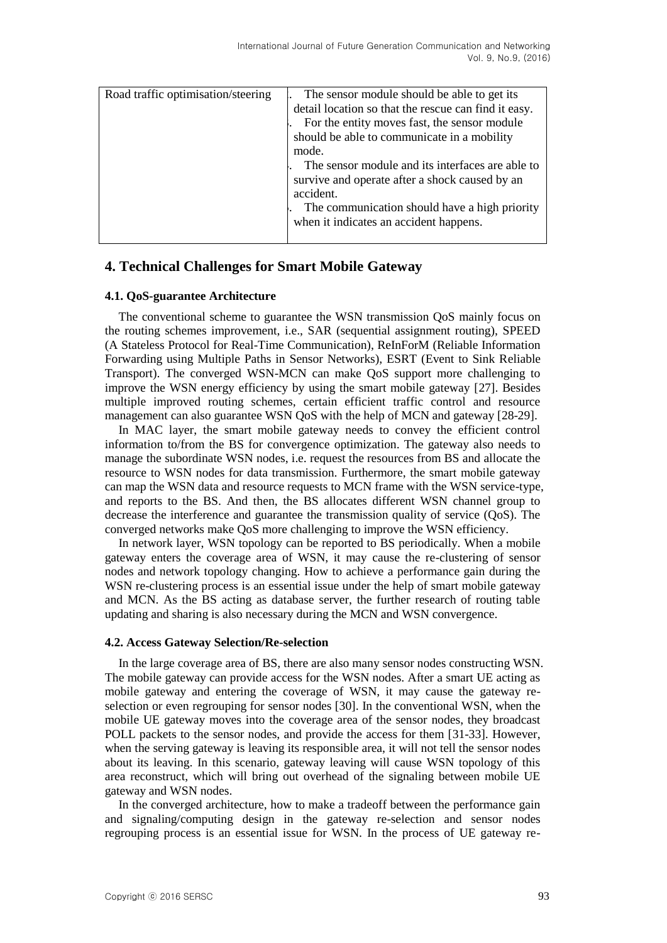| Road traffic optimisation/steering | The sensor module should be able to get its<br>detail location so that the rescue can find it easy.<br>For the entity moves fast, the sensor module<br>should be able to communicate in a mobility<br>mode.<br>The sensor module and its interfaces are able to<br>survive and operate after a shock caused by an<br>accident.<br>The communication should have a high priority<br>when it indicates an accident happens. |
|------------------------------------|---------------------------------------------------------------------------------------------------------------------------------------------------------------------------------------------------------------------------------------------------------------------------------------------------------------------------------------------------------------------------------------------------------------------------|
|------------------------------------|---------------------------------------------------------------------------------------------------------------------------------------------------------------------------------------------------------------------------------------------------------------------------------------------------------------------------------------------------------------------------------------------------------------------------|

# **4. Technical Challenges for Smart Mobile Gateway**

## **4.1. QoS-guarantee Architecture**

The conventional scheme to guarantee the WSN transmission QoS mainly focus on the routing schemes improvement, i.e., SAR (sequential assignment routing), SPEED (A Stateless Protocol for Real-Time Communication), ReInForM (Reliable Information Forwarding using Multiple Paths in Sensor Networks), ESRT (Event to Sink Reliable Transport). The converged WSN-MCN can make QoS support more challenging to improve the WSN energy efficiency by using the smart mobile gateway [27]. Besides multiple improved routing schemes, certain efficient traffic control and resource management can also guarantee WSN QoS with the help of MCN and gateway [28-29].

In MAC layer, the smart mobile gateway needs to convey the efficient control information to/from the BS for convergence optimization. The gateway also needs to manage the subordinate WSN nodes, i.e. request the resources from BS and allocate the resource to WSN nodes for data transmission. Furthermore, the smart mobile gateway can map the WSN data and resource requests to MCN frame with the WSN service-type, and reports to the BS. And then, the BS allocates different WSN channel group to decrease the interference and guarantee the transmission quality of service (QoS). The converged networks make QoS more challenging to improve the WSN efficiency.

In network layer, WSN topology can be reported to BS periodically. When a mobile gateway enters the coverage area of WSN, it may cause the re-clustering of sensor nodes and network topology changing. How to achieve a performance gain during the WSN re-clustering process is an essential issue under the help of smart mobile gateway and MCN. As the BS acting as database server, the further research of routing table updating and sharing is also necessary during the MCN and WSN convergence.

### **4.2. Access Gateway Selection/Re-selection**

In the large coverage area of BS, there are also many sensor nodes constructing WSN. The mobile gateway can provide access for the WSN nodes. After a smart UE acting as mobile gateway and entering the coverage of WSN, it may cause the gateway reselection or even regrouping for sensor nodes [30]. In the conventional WSN, when the mobile UE gateway moves into the coverage area of the sensor nodes, they broadcast POLL packets to the sensor nodes, and provide the access for them [31-33]. However, when the serving gateway is leaving its responsible area, it will not tell the sensor nodes about its leaving. In this scenario, gateway leaving will cause WSN topology of this area reconstruct, which will bring out overhead of the signaling between mobile UE gateway and WSN nodes.

In the converged architecture, how to make a tradeoff between the performance gain and signaling/computing design in the gateway re-selection and sensor nodes regrouping process is an essential issue for WSN. In the process of UE gateway re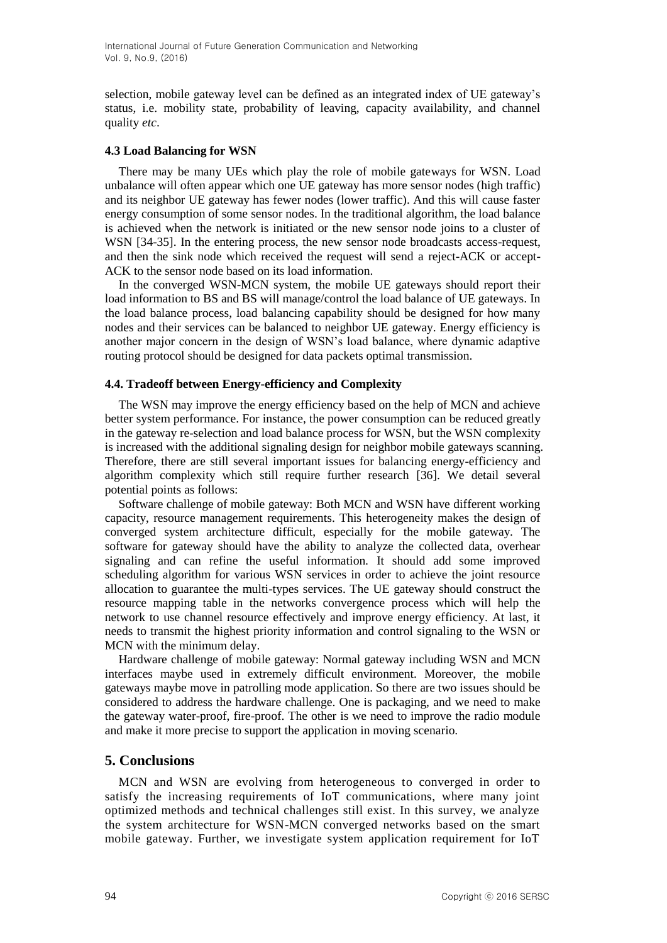International Journal of Future Generation Communication and Networking Vol. 9, No.9, (2016)

selection, mobile gateway level can be defined as an integrated index of UE gateway's status, i.e. mobility state, probability of leaving, capacity availability, and channel quality *etc*.

#### **4.3 Load Balancing for WSN**

There may be many UEs which play the role of mobile gateways for WSN. Load unbalance will often appear which one UE gateway has more sensor nodes (high traffic) and its neighbor UE gateway has fewer nodes (lower traffic). And this will cause faster energy consumption of some sensor nodes. In the traditional algorithm, the load balance is achieved when the network is initiated or the new sensor node joins to a cluster of WSN [34-35]. In the entering process, the new sensor node broadcasts access-request, and then the sink node which received the request will send a reject-ACK or accept-ACK to the sensor node based on its load information.

In the converged WSN-MCN system, the mobile UE gateways should report their load information to BS and BS will manage/control the load balance of UE gateways. In the load balance process, load balancing capability should be designed for how many nodes and their services can be balanced to neighbor UE gateway. Energy efficiency is another major concern in the design of WSN's load balance, where dynamic adaptive routing protocol should be designed for data packets optimal transmission.

#### **4.4. Tradeoff between Energy-efficiency and Complexity**

The WSN may improve the energy efficiency based on the help of MCN and achieve better system performance. For instance, the power consumption can be reduced greatly in the gateway re-selection and load balance process for WSN, but the WSN complexity is increased with the additional signaling design for neighbor mobile gateways scanning. Therefore, there are still several important issues for balancing energy-efficiency and algorithm complexity which still require further research [36]. We detail several potential points as follows:

Software challenge of mobile gateway: Both MCN and WSN have different working capacity, resource management requirements. This heterogeneity makes the design of converged system architecture difficult, especially for the mobile gateway. The software for gateway should have the ability to analyze the collected data, overhear signaling and can refine the useful information. It should add some improved scheduling algorithm for various WSN services in order to achieve the joint resource allocation to guarantee the multi-types services. The UE gateway should construct the resource mapping table in the networks convergence process which will help the network to use channel resource effectively and improve energy efficiency. At last, it needs to transmit the highest priority information and control signaling to the WSN or MCN with the minimum delay.

Hardware challenge of mobile gateway: Normal gateway including WSN and MCN interfaces maybe used in extremely difficult environment. Moreover, the mobile gateways maybe move in patrolling mode application. So there are two issues should be considered to address the hardware challenge. One is packaging, and we need to make the gateway water-proof, fire-proof. The other is we need to improve the radio module and make it more precise to support the application in moving scenario.

### **5. Conclusions**

MCN and WSN are evolving from heterogeneous to converged in order to satisfy the increasing requirements of IoT communications, where many joint optimized methods and technical challenges still exist. In this survey, we analyze the system architecture for WSN-MCN converged networks based on the smart mobile gateway. Further, we investigate system application requirement for IoT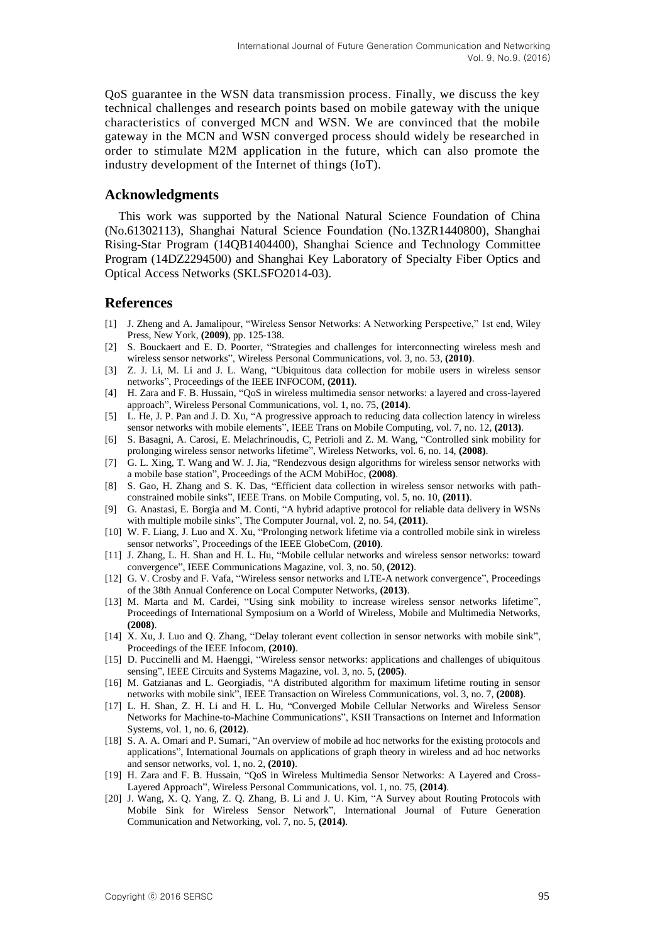QoS guarantee in the WSN data transmission process. Finally, we discuss the key technical challenges and research points based on mobile gateway with the unique characteristics of converged MCN and WSN. We are convinced that the mobile gateway in the MCN and WSN converged process should widely be researched in order to stimulate M2M application in the future, which can also promote the industry development of the Internet of things (IoT).

### **Acknowledgments**

This work was supported by the National Natural Science Foundation of China (No.61302113), Shanghai Natural Science Foundation (No.13ZR1440800), Shanghai Rising-Star Program (14QB1404400), Shanghai Science and Technology Committee Program (14DZ2294500) and Shanghai Key Laboratory of Specialty Fiber Optics and Optical Access Networks (SKLSFO2014-03).

# **References**

- [1] J. Zheng and A. Jamalipour, "Wireless Sensor Networks: A Networking Perspective," 1st end, Wiley Press, New York, **(2009)**, pp. 125-138.
- [2] S. Bouckaert and E. D. Poorter, "Strategies and challenges for interconnecting wireless mesh and wireless sensor networks", Wireless Personal Communications, vol. 3, no. 53, **(2010)**.
- [3] Z. J. Li, M. Li and J. L. Wang, "Ubiquitous data collection for mobile users in wireless sensor networks", Proceedings of the IEEE INFOCOM, **(2011)**.
- [4] H. Zara and F. B. Hussain, "QoS in wireless multimedia sensor networks: a layered and cross-layered approach", Wireless Personal Communications, vol. 1, no. 75, **(2014)**.
- [5] L. He, J. P. Pan and J. D. Xu, "A progressive approach to reducing data collection latency in wireless sensor networks with mobile elements", IEEE Trans on Mobile Computing, vol. 7, no. 12, **(2013)**.
- [6] S. Basagni, A. Carosi, E. Melachrinoudis, C, Petrioli and Z. M. Wang, "Controlled sink mobility for prolonging wireless sensor networks lifetime", Wireless Networks, vol. 6, no. 14, **(2008)**.
- [7] G. L. Xing, T. Wang and W. J. Jia, "Rendezvous design algorithms for wireless sensor networks with a mobile base station", Proceedings of the ACM MobiHoc, **(2008)**.
- [8] S. Gao, H. Zhang and S. K. Das, "Efficient data collection in wireless sensor networks with pathconstrained mobile sinks", IEEE Trans. on Mobile Computing, vol. 5, no. 10, **(2011)**.
- [9] G. Anastasi, E. Borgia and M. Conti, "A hybrid adaptive protocol for reliable data delivery in WSNs with multiple mobile sinks", The Computer Journal, vol. 2, no. 54, **(2011)**.
- [10] W. F. Liang, J. Luo and X. Xu, "Prolonging network lifetime via a controlled mobile sink in wireless sensor networks", Proceedings of the IEEE GlobeCom, **(2010)**.
- [11] J. Zhang, L. H. Shan and H. L. Hu, "Mobile cellular networks and wireless sensor networks: toward convergence", IEEE Communications Magazine, vol. 3, no. 50, **(2012)**.
- [12] G. V. Crosby and F. Vafa, "Wireless sensor networks and LTE-A network convergence", Proceedings of the 38th Annual Conference on Local Computer Networks, **(2013)**.
- [13] M. Marta and M. Cardei, "Using sink mobility to increase wireless sensor networks lifetime", Proceedings of International Symposium on a World of Wireless, Mobile and Multimedia Networks, **(2008)**.
- [14] X. Xu, J. Luo and Q. Zhang, "Delay tolerant event collection in sensor networks with mobile sink", Proceedings of the IEEE Infocom, **(2010)**.
- [15] D. Puccinelli and M. Haenggi, "Wireless sensor networks: applications and challenges of ubiquitous sensing", IEEE Circuits and Systems Magazine, vol. 3, no. 5, **(2005)**.
- [16] M. Gatzianas and L. Georgiadis, "A distributed algorithm for maximum lifetime routing in sensor networks with mobile sink", IEEE Transaction on Wireless Communications, vol. 3, no. 7, **(2008)**.
- [17] L. H. Shan, Z. H. Li and H. L. Hu, "Converged Mobile Cellular Networks and Wireless Sensor Networks for Machine-to-Machine Communications", KSII Transactions on Internet and Information Systems, vol. 1, no. 6, **(2012)**.
- [18] S. A. A. Omari and P. Sumari, "An overview of mobile ad hoc networks for the existing protocols and applications", International Journals on applications of graph theory in wireless and ad hoc networks and sensor networks, vol. 1, no. 2, **(2010)**.
- [19] H. Zara and F. B. Hussain, "QoS in Wireless Multimedia Sensor Networks: A Layered and Cross-Layered Approach", Wireless Personal Communications, vol. 1, no. 75, **(2014)**.
- [20] J. Wang, X. Q. Yang, Z. Q. Zhang, B. Li and J. U. Kim, "A Survey about Routing Protocols with Mobile Sink for Wireless Sensor Network", International Journal of Future Generation Communication and Networking, vol. 7, no. 5, **(2014)**.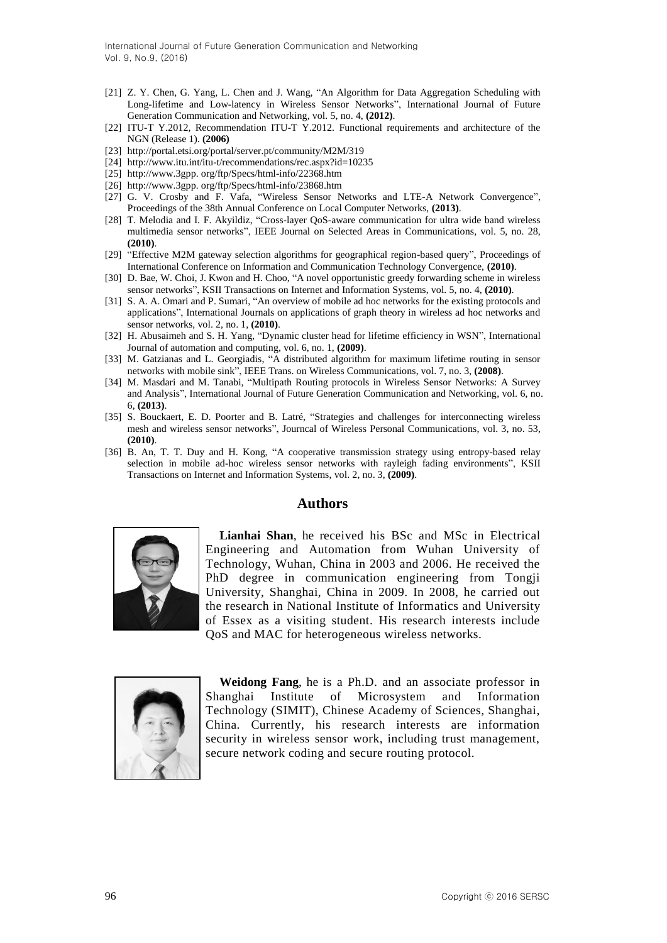International Journal of Future Generation Communication and Networking Vol. 9, No.9, (2016)

- [21] Z. Y. Chen, G. Yang, L. Chen and J. Wang, "An Algorithm for Data Aggregation Scheduling with Long-lifetime and Low-latency in Wireless Sensor Networks", International Journal of Future Generation Communication and Networking, vol. 5, no. 4, **(2012)**.
- [22] ITU-T Y.2012, Recommendation ITU-T Y.2012. Functional requirements and architecture of the NGN (Release 1). **(2006)**
- [23] http://portal.etsi.org/portal/server.pt/community/M2M/319
- [24] http://www.itu.int/itu-t/recommendations/rec.aspx?id=10235
- [25] http://www.3gpp. org/ftp/Specs/html-info/22368.htm
- [26] http://www.3gpp. org/ftp/Specs/html-info/23868.htm
- [27] G. V. Crosby and F. Vafa, "Wireless Sensor Networks and LTE-A Network Convergence", Proceedings of the 38th Annual Conference on Local Computer Networks, **(2013)**.
- [28] T. Melodia and I. F. Akyildiz, "Cross-layer QoS-aware communication for ultra wide band wireless multimedia sensor networks", IEEE Journal on Selected Areas in Communications, vol. 5, no. 28, **(2010)**.
- [29] "Effective M2M gateway selection algorithms for geographical region-based query", Proceedings of International Conference on Information and Communication Technology Convergence, **(2010)**.
- [30] D. Bae, W. Choi, J. Kwon and H. Choo, "A novel opportunistic greedy forwarding scheme in wireless sensor networks", KSII Transactions on Internet and Information Systems, vol. 5, no. 4, **(2010)**.
- [31] S. A. A. Omari and P. Sumari, "An overview of mobile ad hoc networks for the existing protocols and applications", International Journals on applications of graph theory in wireless ad hoc networks and sensor networks, vol. 2, no. 1, **(2010)**.
- [32] H. Abusaimeh and S. H. Yang, "Dynamic cluster head for lifetime efficiency in WSN", International Journal of automation and computing, vol. 6, no. 1, **(2009)**.
- [33] M. Gatzianas and L. Georgiadis, "A distributed algorithm for maximum lifetime routing in sensor networks with mobile sink", IEEE Trans. on Wireless Communications, vol. 7, no. 3, **(2008)**.
- [34] M. Masdari and M. Tanabi, "Multipath Routing protocols in Wireless Sensor Networks: A Survey and Analysis", International Journal of Future Generation Communication and Networking, vol. 6, no. 6, **(2013)**.
- [35] S. Bouckaert, E. D. Poorter and B. Latré, "Strategies and challenges for interconnecting wireless mesh and wireless sensor networks", Journcal of Wireless Personal Communications, vol. 3, no. 53, **(2010)**.
- [36] B. An, T. T. Duy and H. Kong, "A cooperative transmission strategy using entropy-based relay selection in mobile ad-hoc wireless sensor networks with rayleigh fading environments", KSII Transactions on Internet and Information Systems, vol. 2, no. 3, **(2009)**.

#### **Authors**



**Lianhai Shan**, he received his BSc and MSc in Electrical Engineering and Automation from Wuhan University of Technology, Wuhan, China in 2003 and 2006. He received the PhD degree in communication engineering from Tongji University, Shanghai, China in 2009. In 2008, he carried out the research in National Institute of Informatics and University of Essex as a visiting student. His research interests include QoS and MAC for heterogeneous wireless networks.



**Weidong Fang**, he is a Ph.D. and an associate professor in Shanghai Institute of Microsystem and Information Technology (SIMIT), Chinese Academy of Sciences, Shanghai, China. Currently, his research interests are information security in wireless sensor work, including trust management, secure network coding and secure routing protocol.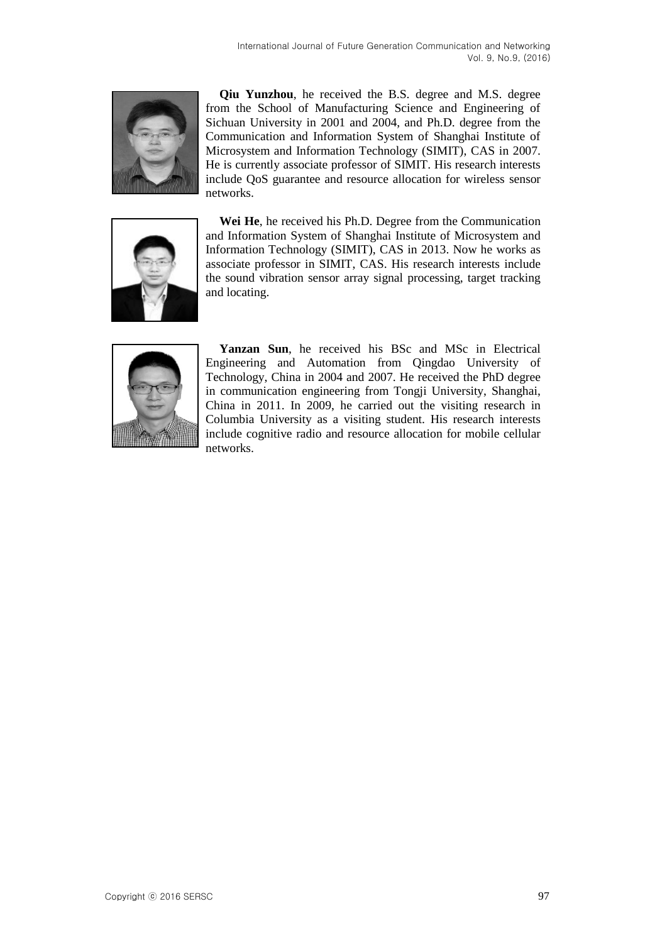

**Qiu Yunzhou**, he received the B.S. degree and M.S. degree from the School of Manufacturing Science and Engineering of Sichuan University in 2001 and 2004, and Ph.D. degree from the Communication and Information System of Shanghai Institute of Microsystem and Information Technology (SIMIT), CAS in 2007. He is currently associate professor of SIMIT. His research interests include QoS guarantee and resource allocation for wireless sensor networks.



**Wei He**, he received his Ph.D. Degree from the Communication and Information System of Shanghai Institute of Microsystem and Information Technology (SIMIT), CAS in 2013. Now he works as associate professor in SIMIT, CAS. His research interests include the sound vibration sensor array signal processing, target tracking and locating.



**Yanzan Sun**, he received his BSc and MSc in Electrical Engineering and Automation from Qingdao University of Technology, China in 2004 and 2007. He received the PhD degree in communication engineering from Tongji University, Shanghai, China in 2011. In 2009, he carried out the visiting research in Columbia University as a visiting student. His research interests include cognitive radio and resource allocation for mobile cellular networks.